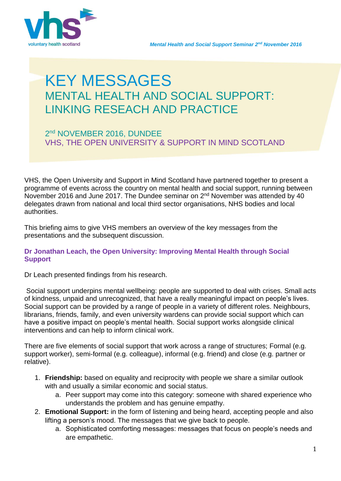



# KEY MESSAGES MENTAL HEALTH AND SOCIAL SUPPORT: LINKING RESEACH AND PRACTICE

## 2 nd NOVEMBER 2016, DUNDEE VHS, THE OPEN UNIVERSITY & SUPPORT IN MIND SCOTLAND

VHS, the Open University and Support in Mind Scotland have partnered together to present a programme of events across the country on mental health and social support, running between November 2016 and June 2017. The Dundee seminar on 2<sup>nd</sup> November was attended by 40 delegates drawn from national and local third sector organisations, NHS bodies and local authorities.

This briefing aims to give VHS members an overview of the key messages from the presentations and the subsequent discussion.

### **Dr Jonathan Leach, the Open University: Improving Mental Health through Social Support**

Dr Leach presented findings from his research.

Social support underpins mental wellbeing: people are supported to deal with crises. Small acts of kindness, unpaid and unrecognized, that have a really meaningful impact on people's lives. Social support can be provided by a range of people in a variety of different roles. Neighbours, librarians, friends, family, and even university wardens can provide social support which can have a positive impact on people's mental health. Social support works alongside clinical interventions and can help to inform clinical work.

There are five elements of social support that work across a range of structures; Formal (e.g. support worker), semi-formal (e.g. colleague), informal (e.g. friend) and close (e.g. partner or relative).

- 1. **Friendship:** based on equality and reciprocity with people we share a similar outlook with and usually a similar economic and social status.
	- a. Peer support may come into this category: someone with shared experience who understands the problem and has genuine empathy.
- 2. **Emotional Support:** in the form of listening and being heard, accepting people and also lifting a person's mood. The messages that we give back to people.
	- a. Sophisticated comforting messages: messages that focus on people's needs and are empathetic.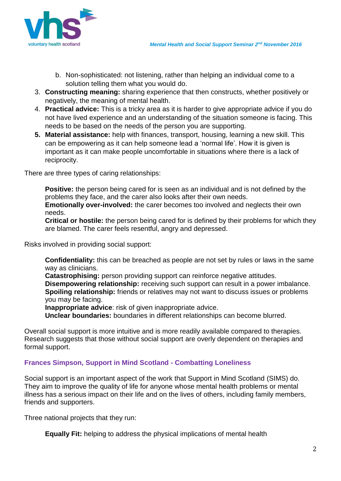

- b. Non-sophisticated: not listening, rather than helping an individual come to a solution telling them what you would do.
- 3. **Constructing meaning:** sharing experience that then constructs, whether positively or negatively, the meaning of mental health.
- 4. **Practical advice:** This is a tricky area as it is harder to give appropriate advice if you do not have lived experience and an understanding of the situation someone is facing. This needs to be based on the needs of the person you are supporting.
- **5. Material assistance:** help with finances, transport, housing, learning a new skill. This can be empowering as it can help someone lead a 'normal life'. How it is given is important as it can make people uncomfortable in situations where there is a lack of reciprocity.

There are three types of caring relationships:

**Positive:** the person being cared for is seen as an individual and is not defined by the problems they face, and the carer also looks after their own needs.

**Emotionally over-involved:** the carer becomes too involved and neglects their own needs.

**Critical or hostile:** the person being cared for is defined by their problems for which they are blamed. The carer feels resentful, angry and depressed.

Risks involved in providing social support:

**Confidentiality:** this can be breached as people are not set by rules or laws in the same way as clinicians.

**Catastrophising:** person providing support can reinforce negative attitudes. **Disempowering relationship:** receiving such support can result in a power imbalance. **Spoiling relationship:** friends or relatives may not want to discuss issues or problems you may be facing.

**Inappropriate advice**: risk of given inappropriate advice.

**Unclear boundaries:** boundaries in different relationships can become blurred.

Overall social support is more intuitive and is more readily available compared to therapies. Research suggests that those without social support are overly dependent on therapies and formal support.

### **Frances Simpson, Support in Mind Scotland - Combatting Loneliness**

Social support is an important aspect of the work that Support in Mind Scotland (SIMS) do. They aim to improve the quality of life for anyone whose mental health problems or mental illness has a serious impact on their life and on the lives of others, including family members, friends and supporters.

Three national projects that they run:

**Equally Fit:** helping to address the physical implications of mental health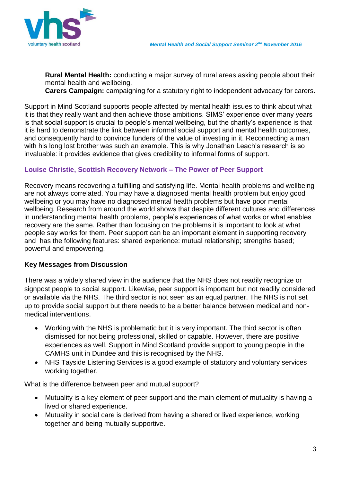

**Rural Mental Health:** conducting a major survey of rural areas asking people about their mental health and wellbeing.

**Carers Campaign:** campaigning for a statutory right to independent advocacy for carers.

Support in Mind Scotland supports people affected by mental health issues to think about what it is that they really want and then achieve those ambitions. SIMS' experience over many years is that social support is crucial to people's mental wellbeing, but the charity's experience is that it is hard to demonstrate the link between informal social support and mental health outcomes, and consequently hard to convince funders of the value of investing in it. Reconnecting a man with his long lost brother was such an example. This is why Jonathan Leach's research is so invaluable: it provides evidence that gives credibility to informal forms of support.

### **Louise Christie, Scottish Recovery Network – The Power of Peer Support**

Recovery means recovering a fulfilling and satisfying life. Mental health problems and wellbeing are not always correlated. You may have a diagnosed mental health problem but enjoy good wellbeing or you may have no diagnosed mental health problems but have poor mental wellbeing. Research from around the world shows that despite different cultures and differences in understanding mental health problems, people's experiences of what works or what enables recovery are the same. Rather than focusing on the problems it is important to look at what people say works for them. Peer support can be an important element in supporting recovery and has the following features: shared experience: mutual relationship; strengths based; powerful and empowering.

#### **Key Messages from Discussion**

There was a widely shared view in the audience that the NHS does not readily recognize or signpost people to social support. Likewise, peer support is important but not readily considered or available via the NHS. The third sector is not seen as an equal partner. The NHS is not set up to provide social support but there needs to be a better balance between medical and nonmedical interventions.

- Working with the NHS is problematic but it is very important. The third sector is often dismissed for not being professional, skilled or capable. However, there are positive experiences as well. Support in Mind Scotland provide support to young people in the CAMHS unit in Dundee and this is recognised by the NHS.
- NHS Tayside Listening Services is a good example of statutory and voluntary services working together.

What is the difference between peer and mutual support?

- Mutuality is a key element of peer support and the main element of mutuality is having a lived or shared experience.
- Mutuality in social care is derived from having a shared or lived experience, working together and being mutually supportive.